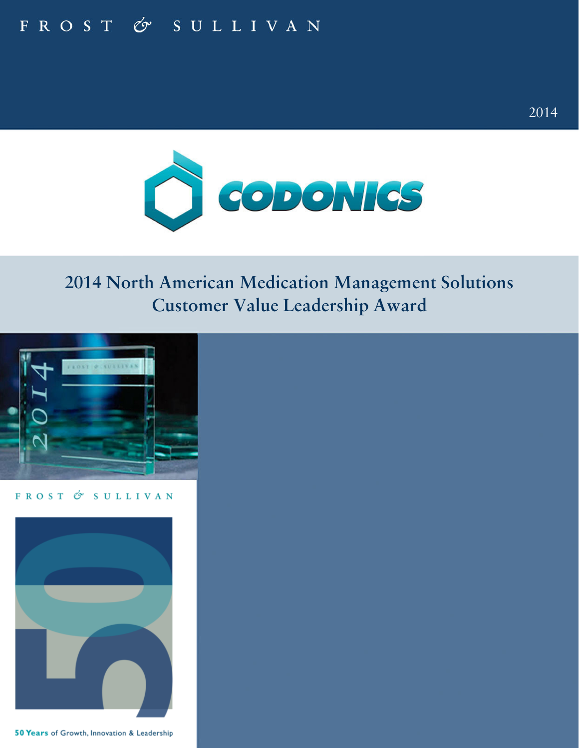# FROST & SULLIVAN



2013 2014

### **2013 North American SSL Certificate Product Value Leadership** 1 **2014 North American Medication Management Solutions Customer Value Leadership Award**



FROST & SULLIVAN



50 Years of Growth, Innovation & Leadership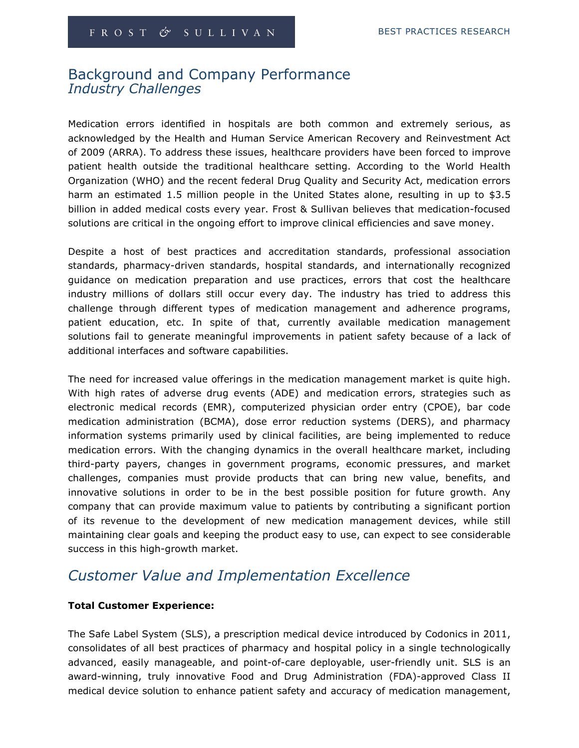### Background and Company Performance Industry Challenges

Medication errors identified in hospitals are both common and extremely serious, as acknowledged by the Health and Human Service American Recovery and Reinvestment Act of 2009 (ARRA). To address these issues, healthcare providers have been forced to improve patient health outside the traditional healthcare setting. According to the World Health Organization (WHO) and the recent federal Drug Quality and Security Act, medication errors harm an estimated 1.5 million people in the United States alone, resulting in up to \$3.5 billion in added medical costs every year. Frost & Sullivan believes that medication-focused solutions are critical in the ongoing effort to improve clinical efficiencies and save money.

Despite a host of best practices and accreditation standards, professional association standards, pharmacy-driven standards, hospital standards, and internationally recognized guidance on medication preparation and use practices, errors that cost the healthcare industry millions of dollars still occur every day. The industry has tried to address this challenge through different types of medication management and adherence programs, patient education, etc. In spite of that, currently available medication management solutions fail to generate meaningful improvements in patient safety because of a lack of additional interfaces and software capabilities.

The need for increased value offerings in the medication management market is quite high. With high rates of adverse drug events (ADE) and medication errors, strategies such as electronic medical records (EMR), computerized physician order entry (CPOE), bar code medication administration (BCMA), dose error reduction systems (DERS), and pharmacy information systems primarily used by clinical facilities, are being implemented to reduce medication errors. With the changing dynamics in the overall healthcare market, including third-party payers, changes in government programs, economic pressures, and market challenges, companies must provide products that can bring new value, benefits, and innovative solutions in order to be in the best possible position for future growth. Any company that can provide maximum value to patients by contributing a significant portion of its revenue to the development of new medication management devices, while still maintaining clear goals and keeping the product easy to use, can expect to see considerable success in this high-growth market.

### Customer Value and Implementation Excellence

### Total Customer Experience:

The Safe Label System (SLS), a prescription medical device introduced by Codonics in 2011, consolidates of all best practices of pharmacy and hospital policy in a single technologically advanced, easily manageable, and point-of-care deployable, user-friendly unit. SLS is an award-winning, truly innovative Food and Drug Administration (FDA)-approved Class II medical device solution to enhance patient safety and accuracy of medication management,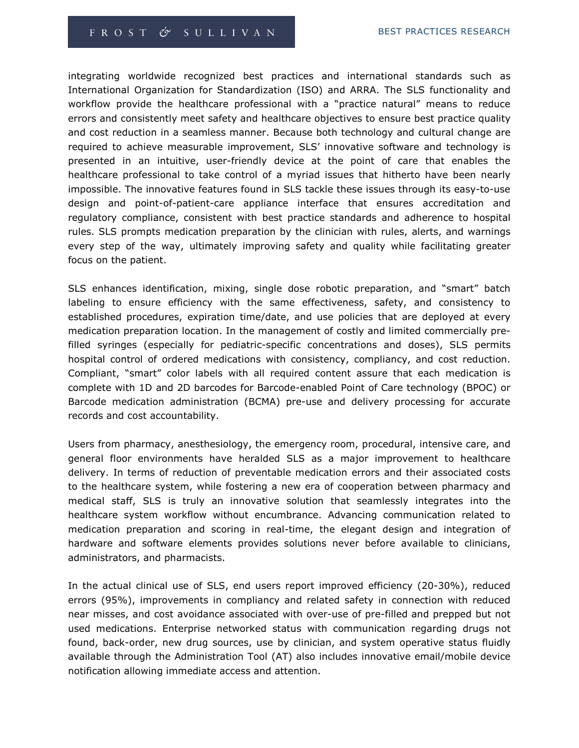integrating worldwide recognized best practices and international standards such as International Organization for Standardization (ISO) and ARRA. The SLS functionality and workflow provide the healthcare professional with a "practice natural" means to reduce errors and consistently meet safety and healthcare objectives to ensure best practice quality and cost reduction in a seamless manner. Because both technology and cultural change are required to achieve measurable improvement, SLS' innovative software and technology is presented in an intuitive, user-friendly device at the point of care that enables the healthcare professional to take control of a myriad issues that hitherto have been nearly impossible. The innovative features found in SLS tackle these issues through its easy-to-use design and point-of-patient-care appliance interface that ensures accreditation and regulatory compliance, consistent with best practice standards and adherence to hospital rules. SLS prompts medication preparation by the clinician with rules, alerts, and warnings every step of the way, ultimately improving safety and quality while facilitating greater focus on the patient.

SLS enhances identification, mixing, single dose robotic preparation, and "smart" batch labeling to ensure efficiency with the same effectiveness, safety, and consistency to established procedures, expiration time/date, and use policies that are deployed at every medication preparation location. In the management of costly and limited commercially prefilled syringes (especially for pediatric-specific concentrations and doses), SLS permits hospital control of ordered medications with consistency, compliancy, and cost reduction. Compliant, "smart" color labels with all required content assure that each medication is complete with 1D and 2D barcodes for Barcode-enabled Point of Care technology (BPOC) or Barcode medication administration (BCMA) pre-use and delivery processing for accurate records and cost accountability.

Users from pharmacy, anesthesiology, the emergency room, procedural, intensive care, and general floor environments have heralded SLS as a major improvement to healthcare delivery. In terms of reduction of preventable medication errors and their associated costs to the healthcare system, while fostering a new era of cooperation between pharmacy and medical staff, SLS is truly an innovative solution that seamlessly integrates into the healthcare system workflow without encumbrance. Advancing communication related to medication preparation and scoring in real-time, the elegant design and integration of hardware and software elements provides solutions never before available to clinicians, administrators, and pharmacists.

In the actual clinical use of SLS, end users report improved efficiency (20-30%), reduced errors (95%), improvements in compliancy and related safety in connection with reduced near misses, and cost avoidance associated with over-use of pre-filled and prepped but not used medications. Enterprise networked status with communication regarding drugs not found, back-order, new drug sources, use by clinician, and system operative status fluidly available through the Administration Tool (AT) also includes innovative email/mobile device notification allowing immediate access and attention.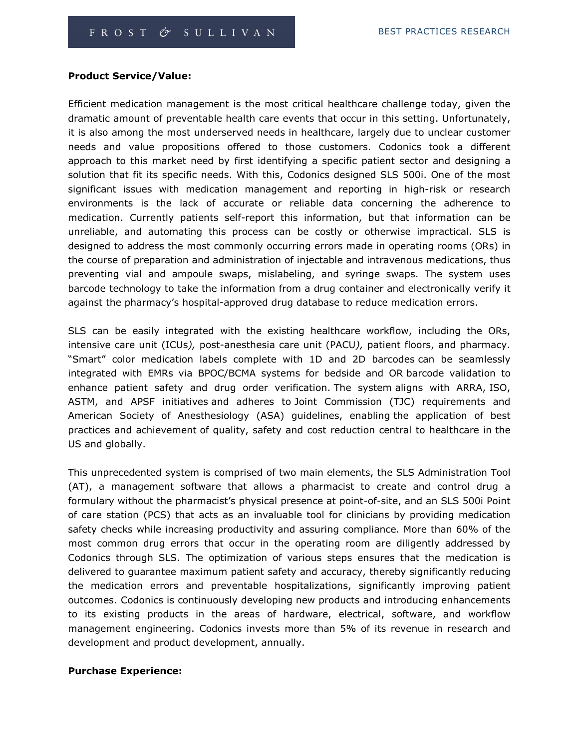### Product Service/Value:

Efficient medication management is the most critical healthcare challenge today, given the dramatic amount of preventable health care events that occur in this setting. Unfortunately, it is also among the most underserved needs in healthcare, largely due to unclear customer needs and value propositions offered to those customers. Codonics took a different approach to this market need by first identifying a specific patient sector and designing a solution that fit its specific needs. With this, Codonics designed SLS 500i. One of the most significant issues with medication management and reporting in high-risk or research environments is the lack of accurate or reliable data concerning the adherence to medication. Currently patients self-report this information, but that information can be unreliable, and automating this process can be costly or otherwise impractical. SLS is designed to address the most commonly occurring errors made in operating rooms (ORs) in the course of preparation and administration of injectable and intravenous medications, thus preventing vial and ampoule swaps, mislabeling, and syringe swaps. The system uses barcode technology to take the information from a drug container and electronically verify it against the pharmacy's hospital-approved drug database to reduce medication errors.

SLS can be easily integrated with the existing healthcare workflow, including the ORs, intensive care unit (ICUs), post-anesthesia care unit (PACU), patient floors, and pharmacy. "Smart" color medication labels complete with 1D and 2D barcodes can be seamlessly integrated with EMRs via BPOC/BCMA systems for bedside and OR barcode validation to enhance patient safety and drug order verification. The system aligns with ARRA, ISO, ASTM, and APSF initiatives and adheres to Joint Commission (TJC) requirements and American Society of Anesthesiology (ASA) guidelines, enabling the application of best practices and achievement of quality, safety and cost reduction central to healthcare in the US and globally.

This unprecedented system is comprised of two main elements, the SLS Administration Tool (AT), a management software that allows a pharmacist to create and control drug a formulary without the pharmacist's physical presence at point-of-site, and an SLS 500i Point of care station (PCS) that acts as an invaluable tool for clinicians by providing medication safety checks while increasing productivity and assuring compliance. More than 60% of the most common drug errors that occur in the operating room are diligently addressed by Codonics through SLS. The optimization of various steps ensures that the medication is delivered to guarantee maximum patient safety and accuracy, thereby significantly reducing the medication errors and preventable hospitalizations, significantly improving patient outcomes. Codonics is continuously developing new products and introducing enhancements to its existing products in the areas of hardware, electrical, software, and workflow management engineering. Codonics invests more than 5% of its revenue in research and development and product development, annually.

#### Purchase Experience: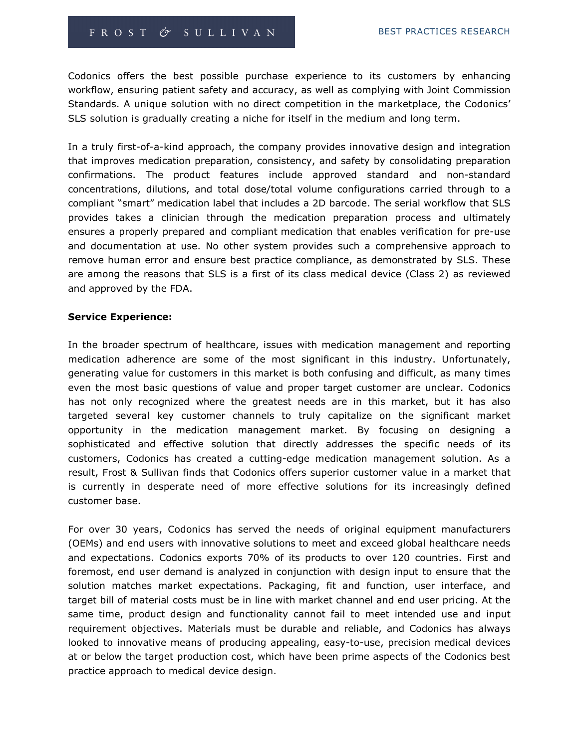Codonics offers the best possible purchase experience to its customers by enhancing workflow, ensuring patient safety and accuracy, as well as complying with Joint Commission Standards. A unique solution with no direct competition in the marketplace, the Codonics' SLS solution is gradually creating a niche for itself in the medium and long term.

In a truly first-of-a-kind approach, the company provides innovative design and integration that improves medication preparation, consistency, and safety by consolidating preparation confirmations. The product features include approved standard and non-standard concentrations, dilutions, and total dose/total volume configurations carried through to a compliant "smart" medication label that includes a 2D barcode. The serial workflow that SLS provides takes a clinician through the medication preparation process and ultimately ensures a properly prepared and compliant medication that enables verification for pre-use and documentation at use. No other system provides such a comprehensive approach to remove human error and ensure best practice compliance, as demonstrated by SLS. These are among the reasons that SLS is a first of its class medical device (Class 2) as reviewed and approved by the FDA.

### Service Experience:

In the broader spectrum of healthcare, issues with medication management and reporting medication adherence are some of the most significant in this industry. Unfortunately, generating value for customers in this market is both confusing and difficult, as many times even the most basic questions of value and proper target customer are unclear. Codonics has not only recognized where the greatest needs are in this market, but it has also targeted several key customer channels to truly capitalize on the significant market opportunity in the medication management market. By focusing on designing a sophisticated and effective solution that directly addresses the specific needs of its customers, Codonics has created a cutting-edge medication management solution. As a result, Frost & Sullivan finds that Codonics offers superior customer value in a market that is currently in desperate need of more effective solutions for its increasingly defined customer base.

For over 30 years, Codonics has served the needs of original equipment manufacturers (OEMs) and end users with innovative solutions to meet and exceed global healthcare needs and expectations. Codonics exports 70% of its products to over 120 countries. First and foremost, end user demand is analyzed in conjunction with design input to ensure that the solution matches market expectations. Packaging, fit and function, user interface, and target bill of material costs must be in line with market channel and end user pricing. At the same time, product design and functionality cannot fail to meet intended use and input requirement objectives. Materials must be durable and reliable, and Codonics has always looked to innovative means of producing appealing, easy-to-use, precision medical devices at or below the target production cost, which have been prime aspects of the Codonics best practice approach to medical device design.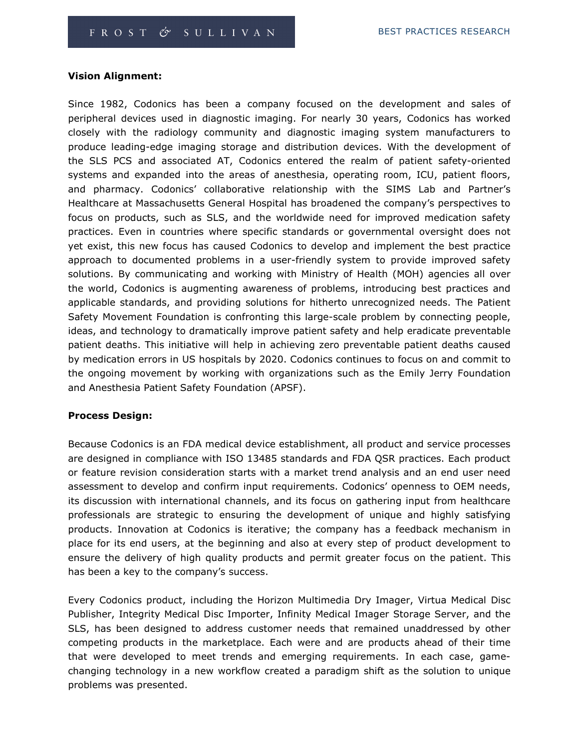#### Vision Alignment:

Since 1982, Codonics has been a company focused on the development and sales of peripheral devices used in diagnostic imaging. For nearly 30 years, Codonics has worked closely with the radiology community and diagnostic imaging system manufacturers to produce leading-edge imaging storage and distribution devices. With the development of the SLS PCS and associated AT, Codonics entered the realm of patient safety-oriented systems and expanded into the areas of anesthesia, operating room, ICU, patient floors, and pharmacy. Codonics' collaborative relationship with the SIMS Lab and Partner's Healthcare at Massachusetts General Hospital has broadened the company's perspectives to focus on products, such as SLS, and the worldwide need for improved medication safety practices. Even in countries where specific standards or governmental oversight does not yet exist, this new focus has caused Codonics to develop and implement the best practice approach to documented problems in a user-friendly system to provide improved safety solutions. By communicating and working with Ministry of Health (MOH) agencies all over the world, Codonics is augmenting awareness of problems, introducing best practices and applicable standards, and providing solutions for hitherto unrecognized needs. The Patient Safety Movement Foundation is confronting this large-scale problem by connecting people, ideas, and technology to dramatically improve patient safety and help eradicate preventable patient deaths. This initiative will help in achieving zero preventable patient deaths caused by medication errors in US hospitals by 2020. Codonics continues to focus on and commit to the ongoing movement by working with organizations such as the Emily Jerry Foundation and Anesthesia Patient Safety Foundation (APSF).

#### Process Design:

Because Codonics is an FDA medical device establishment, all product and service processes are designed in compliance with ISO 13485 standards and FDA QSR practices. Each product or feature revision consideration starts with a market trend analysis and an end user need assessment to develop and confirm input requirements. Codonics' openness to OEM needs, its discussion with international channels, and its focus on gathering input from healthcare professionals are strategic to ensuring the development of unique and highly satisfying products. Innovation at Codonics is iterative; the company has a feedback mechanism in place for its end users, at the beginning and also at every step of product development to ensure the delivery of high quality products and permit greater focus on the patient. This has been a key to the company's success.

Every Codonics product, including the Horizon Multimedia Dry Imager, Virtua Medical Disc Publisher, Integrity Medical Disc Importer, Infinity Medical Imager Storage Server, and the SLS, has been designed to address customer needs that remained unaddressed by other competing products in the marketplace. Each were and are products ahead of their time that were developed to meet trends and emerging requirements. In each case, gamechanging technology in a new workflow created a paradigm shift as the solution to unique problems was presented.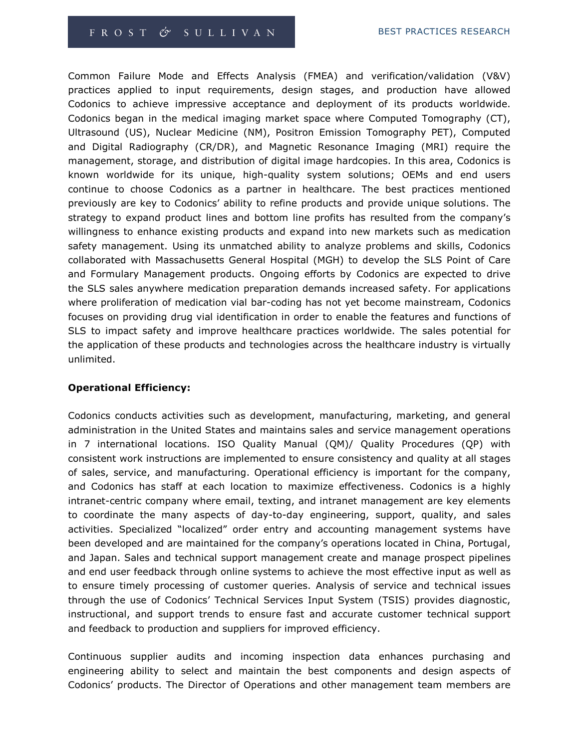Common Failure Mode and Effects Analysis (FMEA) and verification/validation (V&V) practices applied to input requirements, design stages, and production have allowed Codonics to achieve impressive acceptance and deployment of its products worldwide. Codonics began in the medical imaging market space where Computed Tomography (CT), Ultrasound (US), Nuclear Medicine (NM), Positron Emission Tomography PET), Computed and Digital Radiography (CR/DR), and Magnetic Resonance Imaging (MRI) require the management, storage, and distribution of digital image hardcopies. In this area, Codonics is known worldwide for its unique, high-quality system solutions; OEMs and end users continue to choose Codonics as a partner in healthcare. The best practices mentioned previously are key to Codonics' ability to refine products and provide unique solutions. The strategy to expand product lines and bottom line profits has resulted from the company's willingness to enhance existing products and expand into new markets such as medication safety management. Using its unmatched ability to analyze problems and skills, Codonics collaborated with Massachusetts General Hospital (MGH) to develop the SLS Point of Care and Formulary Management products. Ongoing efforts by Codonics are expected to drive the SLS sales anywhere medication preparation demands increased safety. For applications where proliferation of medication vial bar-coding has not yet become mainstream, Codonics focuses on providing drug vial identification in order to enable the features and functions of SLS to impact safety and improve healthcare practices worldwide. The sales potential for the application of these products and technologies across the healthcare industry is virtually unlimited.

### Operational Efficiency:

Codonics conducts activities such as development, manufacturing, marketing, and general administration in the United States and maintains sales and service management operations in 7 international locations. ISO Quality Manual (QM)/ Quality Procedures (QP) with consistent work instructions are implemented to ensure consistency and quality at all stages of sales, service, and manufacturing. Operational efficiency is important for the company, and Codonics has staff at each location to maximize effectiveness. Codonics is a highly intranet-centric company where email, texting, and intranet management are key elements to coordinate the many aspects of day-to-day engineering, support, quality, and sales activities. Specialized "localized" order entry and accounting management systems have been developed and are maintained for the company's operations located in China, Portugal, and Japan. Sales and technical support management create and manage prospect pipelines and end user feedback through online systems to achieve the most effective input as well as to ensure timely processing of customer queries. Analysis of service and technical issues through the use of Codonics' Technical Services Input System (TSIS) provides diagnostic, instructional, and support trends to ensure fast and accurate customer technical support and feedback to production and suppliers for improved efficiency.

Continuous supplier audits and incoming inspection data enhances purchasing and engineering ability to select and maintain the best components and design aspects of Codonics' products. The Director of Operations and other management team members are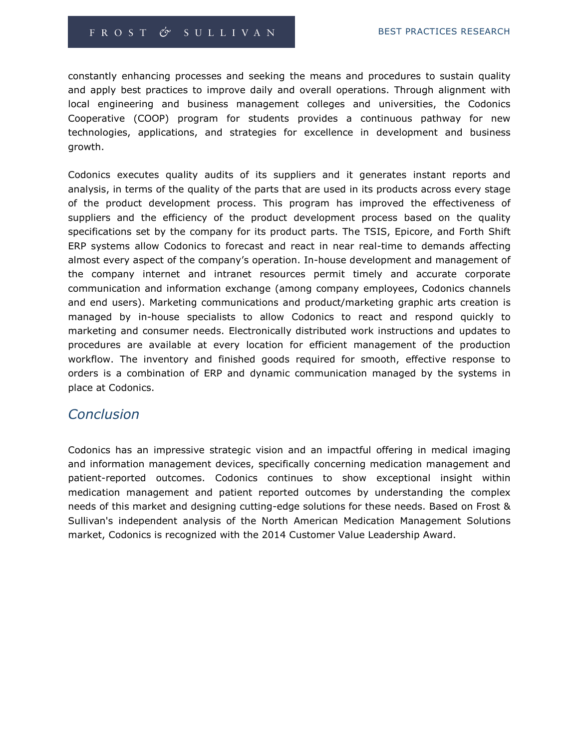constantly enhancing processes and seeking the means and procedures to sustain quality and apply best practices to improve daily and overall operations. Through alignment with local engineering and business management colleges and universities, the Codonics Cooperative (COOP) program for students provides a continuous pathway for new technologies, applications, and strategies for excellence in development and business growth.

Codonics executes quality audits of its suppliers and it generates instant reports and analysis, in terms of the quality of the parts that are used in its products across every stage of the product development process. This program has improved the effectiveness of suppliers and the efficiency of the product development process based on the quality specifications set by the company for its product parts. The TSIS, Epicore, and Forth Shift ERP systems allow Codonics to forecast and react in near real-time to demands affecting almost every aspect of the company's operation. In-house development and management of the company internet and intranet resources permit timely and accurate corporate communication and information exchange (among company employees, Codonics channels and end users). Marketing communications and product/marketing graphic arts creation is managed by in-house specialists to allow Codonics to react and respond quickly to marketing and consumer needs. Electronically distributed work instructions and updates to procedures are available at every location for efficient management of the production workflow. The inventory and finished goods required for smooth, effective response to orders is a combination of ERP and dynamic communication managed by the systems in place at Codonics.

### **Conclusion**

Codonics has an impressive strategic vision and an impactful offering in medical imaging and information management devices, specifically concerning medication management and patient-reported outcomes. Codonics continues to show exceptional insight within medication management and patient reported outcomes by understanding the complex needs of this market and designing cutting-edge solutions for these needs. Based on Frost & Sullivan's independent analysis of the North American Medication Management Solutions market, Codonics is recognized with the 2014 Customer Value Leadership Award.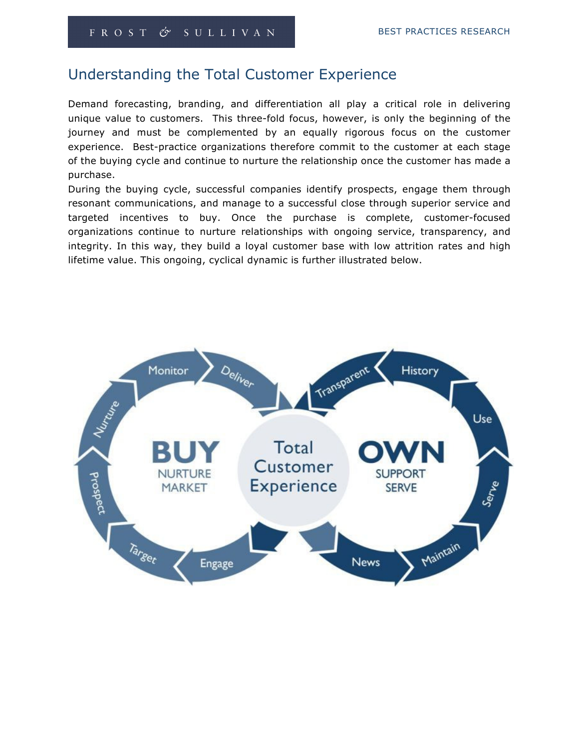## Understanding the Total Customer Experience

Demand forecasting, branding, and differentiation all play a critical role in delivering unique value to customers. This three-fold focus, however, is only the beginning of the journey and must be complemented by an equally rigorous focus on the customer experience. Best-practice organizations therefore commit to the customer at each stage of the buying cycle and continue to nurture the relationship once the customer has made a purchase.

During the buying cycle, successful companies identify prospects, engage them through resonant communications, and manage to a successful close through superior service and targeted incentives to buy. Once the purchase is complete, customer-focused organizations continue to nurture relationships with ongoing service, transparency, and integrity. In this way, they build a loyal customer base with low attrition rates and high lifetime value. This ongoing, cyclical dynamic is further illustrated below.

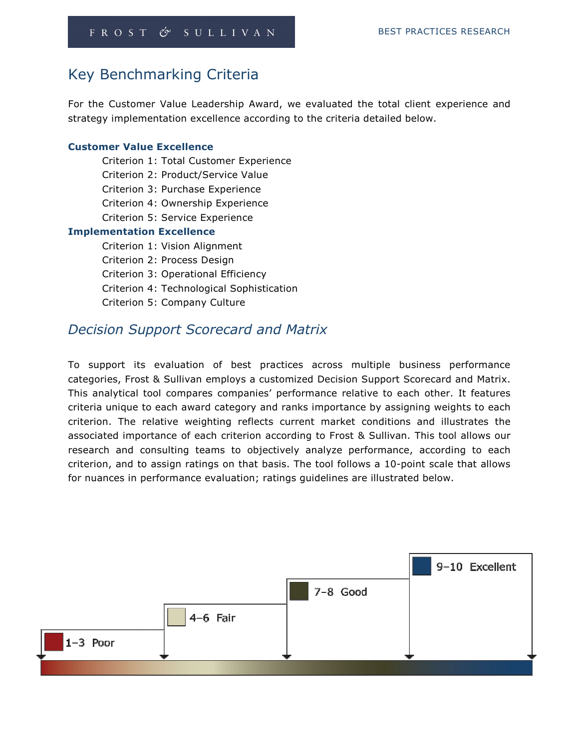# Key Benchmarking Criteria

For the Customer Value Leadership Award, we evaluated the total client experience and strategy implementation excellence according to the criteria detailed below.

#### Customer Value Excellence

| Criterion 1: Total Customer Experience    |
|-------------------------------------------|
| Criterion 2: Product/Service Value        |
| Criterion 3: Purchase Experience          |
| Criterion 4: Ownership Experience         |
| Criterion 5: Service Experience           |
| <b>Implementation Excellence</b>          |
| Criterion 1: Vision Alignment             |
| Criterion 2: Process Design               |
| Criterion 3: Operational Efficiency       |
| Criterion 4: Technological Sophistication |
| Criterion 5: Company Culture              |
|                                           |

### Decision Support Scorecard and Matrix

To support its evaluation of best practices across multiple business performance categories, Frost & Sullivan employs a customized Decision Support Scorecard and Matrix. This analytical tool compares companies' performance relative to each other. It features criteria unique to each award category and ranks importance by assigning weights to each criterion. The relative weighting reflects current market conditions and illustrates the associated importance of each criterion according to Frost & Sullivan. This tool allows our research and consulting teams to objectively analyze performance, according to each criterion, and to assign ratings on that basis. The tool follows a 10-point scale that allows for nuances in performance evaluation; ratings guidelines are illustrated below.

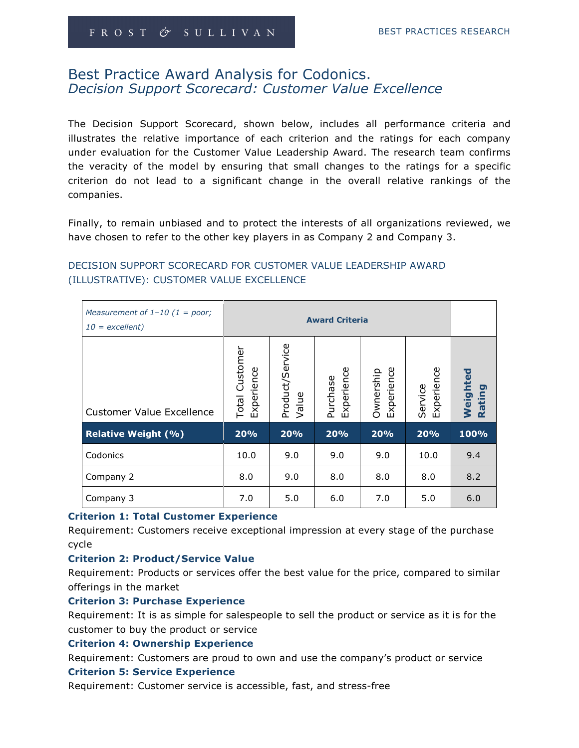### Best Practice Award Analysis for Codonics. Decision Support Scorecard: Customer Value Excellence

The Decision Support Scorecard, shown below, includes all performance criteria and illustrates the relative importance of each criterion and the ratings for each company under evaluation for the Customer Value Leadership Award. The research team confirms the veracity of the model by ensuring that small changes to the ratings for a specific criterion do not lead to a significant change in the overall relative rankings of the companies.

Finally, to remain unbiased and to protect the interests of all organizations reviewed, we have chosen to refer to the other key players in as Company 2 and Company 3.

| Measurement of $1-10$ (1 = poor;<br>$10 =$ excellent) |                              |                          |                        |                         |                       |                               |
|-------------------------------------------------------|------------------------------|--------------------------|------------------------|-------------------------|-----------------------|-------------------------------|
| <b>Customer Value Excellence</b>                      | Total Customer<br>Experience | Product/Service<br>Value | Experience<br>Purchase | Experience<br>Ownership | Experience<br>Service | Weighted<br>ō<br><b>Ratin</b> |
| <b>Relative Weight (%)</b>                            | 20%                          | 20%                      | 20%                    | 20%                     | 20%                   | 100%                          |
| Codonics                                              | 10.0                         | 9.0                      | 9.0                    | 9.0                     | 10.0                  | 9.4                           |
| Company 2                                             | 8.0                          | 9.0                      | 8.0                    | 8.0                     | 8.0                   | 8.2                           |
| Company 3                                             | 7.0                          | 5.0                      | 6.0                    | 7.0                     | 5.0                   | 6.0                           |

### DECISION SUPPORT SCORECARD FOR CUSTOMER VALUE LEADERSHIP AWARD (ILLUSTRATIVE): CUSTOMER VALUE EXCELLENCE

### Criterion 1: Total Customer Experience

Requirement: Customers receive exceptional impression at every stage of the purchase cycle

### Criterion 2: Product/Service Value

Requirement: Products or services offer the best value for the price, compared to similar offerings in the market

#### Criterion 3: Purchase Experience

Requirement: It is as simple for salespeople to sell the product or service as it is for the customer to buy the product or service

#### Criterion 4: Ownership Experience

Requirement: Customers are proud to own and use the company's product or service

#### Criterion 5: Service Experience

Requirement: Customer service is accessible, fast, and stress-free